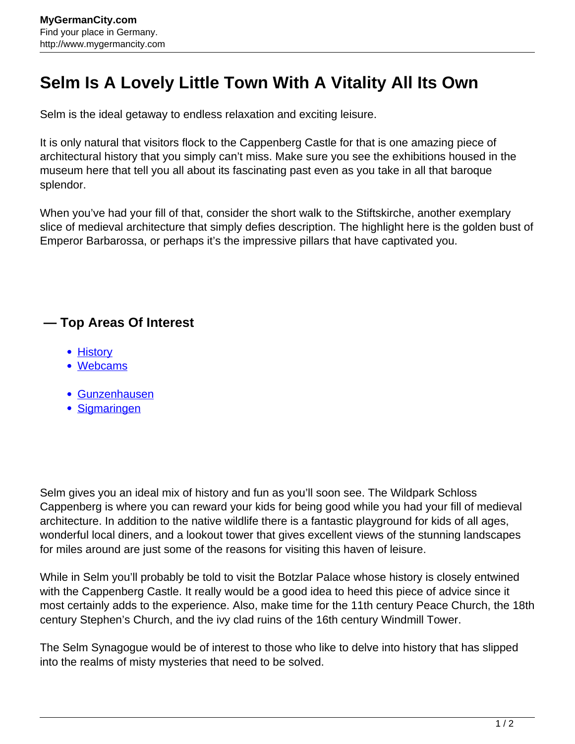## **Selm Is A Lovely Little Town With A Vitality All Its Own**

Selm is the ideal getaway to endless relaxation and exciting leisure.

It is only natural that visitors flock to the Cappenberg Castle for that is one amazing piece of architectural history that you simply can't miss. Make sure you see the exhibitions housed in the museum here that tell you all about its fascinating past even as you take in all that baroque splendor.

When you've had your fill of that, consider the short walk to the Stiftskirche, another exemplary slice of medieval architecture that simply defies description. The highlight here is the golden bust of Emperor Barbarossa, or perhaps it's the impressive pillars that have captivated you.

## **— Top Areas Of Interest**

- [History](http://www.mygermancity.com/leipzig-history)
- [Webcams](http://www.mygermancity.com/neustadt-holstein-webcams)
- [Gunzenhausen](http://www.mygermancity.com/gunzenhausen)
- [Sigmaringen](http://www.mygermancity.com/sigmaringen)

Selm gives you an ideal mix of history and fun as you'll soon see. The Wildpark Schloss Cappenberg is where you can reward your kids for being good while you had your fill of medieval architecture. In addition to the native wildlife there is a fantastic playground for kids of all ages, wonderful local diners, and a lookout tower that gives excellent views of the stunning landscapes for miles around are just some of the reasons for visiting this haven of leisure.

While in Selm you'll probably be told to visit the Botzlar Palace whose history is closely entwined with the Cappenberg Castle. It really would be a good idea to heed this piece of advice since it most certainly adds to the experience. Also, make time for the 11th century Peace Church, the 18th century Stephen's Church, and the ivy clad ruins of the 16th century Windmill Tower.

The Selm Synagogue would be of interest to those who like to delve into history that has slipped into the realms of misty mysteries that need to be solved.